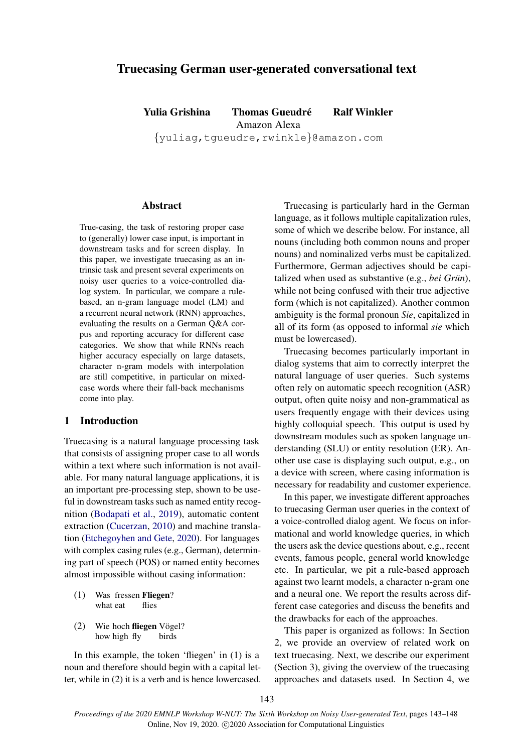# Truecasing German user-generated conversational text

Yulia Grishina Thomas Gueudré Ralf Winkler Amazon Alexa

{yuliag,tgueudre,rwinkle}@amazon.com

## **Abstract**

True-casing, the task of restoring proper case to (generally) lower case input, is important in downstream tasks and for screen display. In this paper, we investigate truecasing as an intrinsic task and present several experiments on noisy user queries to a voice-controlled dialog system. In particular, we compare a rulebased, an n-gram language model (LM) and a recurrent neural network (RNN) approaches, evaluating the results on a German Q&A corpus and reporting accuracy for different case categories. We show that while RNNs reach higher accuracy especially on large datasets, character n-gram models with interpolation are still competitive, in particular on mixedcase words where their fall-back mechanisms come into play.

## 1 Introduction

Truecasing is a natural language processing task that consists of assigning proper case to all words within a text where such information is not available. For many natural language applications, it is an important pre-processing step, shown to be useful in downstream tasks such as named entity recognition [\(Bodapati et al.,](#page-5-0) [2019\)](#page-5-0), automatic content extraction [\(Cucerzan,](#page-5-1) [2010\)](#page-5-1) and machine translation [\(Etchegoyhen and Gete,](#page-5-2) [2020\)](#page-5-2). For languages with complex casing rules (e.g., German), determining part of speech (POS) or named entity becomes almost impossible without casing information:

- (1) Was fressen Fliegen? what eat flies
- (2) Wie hoch fliegen Vögel? how high fly birds

In this example, the token 'fliegen' in (1) is a noun and therefore should begin with a capital letter, while in (2) it is a verb and is hence lowercased.

Truecasing is particularly hard in the German language, as it follows multiple capitalization rules, some of which we describe below. For instance, all nouns (including both common nouns and proper nouns) and nominalized verbs must be capitalized. Furthermore, German adjectives should be capitalized when used as substantive (e.g., *bei Grün*), while not being confused with their true adjective form (which is not capitalized). Another common ambiguity is the formal pronoun *Sie*, capitalized in all of its form (as opposed to informal *sie* which must be lowercased).

Truecasing becomes particularly important in dialog systems that aim to correctly interpret the natural language of user queries. Such systems often rely on automatic speech recognition (ASR) output, often quite noisy and non-grammatical as users frequently engage with their devices using highly colloquial speech. This output is used by downstream modules such as spoken language understanding (SLU) or entity resolution (ER). Another use case is displaying such output, e.g., on a device with screen, where casing information is necessary for readability and customer experience.

In this paper, we investigate different approaches to truecasing German user queries in the context of a voice-controlled dialog agent. We focus on informational and world knowledge queries, in which the users ask the device questions about, e.g., recent events, famous people, general world knowledge etc. In particular, we pit a rule-based approach against two learnt models, a character n-gram one and a neural one. We report the results across different case categories and discuss the benefits and the drawbacks for each of the approaches.

This paper is organized as follows: In Section 2, we provide an overview of related work on text truecasing. Next, we describe our experiment (Section 3), giving the overview of the truecasing approaches and datasets used. In Section 4, we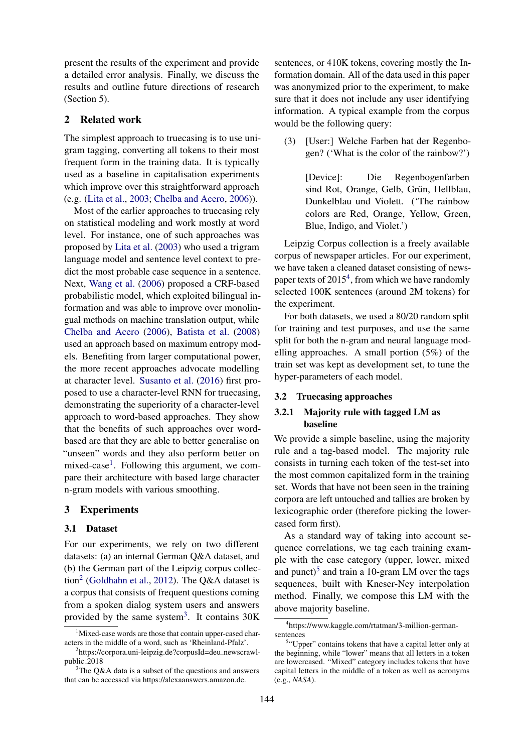present the results of the experiment and provide a detailed error analysis. Finally, we discuss the results and outline future directions of research (Section 5).

## 2 Related work

The simplest approach to truecasing is to use unigram tagging, converting all tokens to their most frequent form in the training data. It is typically used as a baseline in capitalisation experiments which improve over this straightforward approach (e.g. [\(Lita et al.,](#page-5-3) [2003;](#page-5-3) [Chelba and Acero,](#page-5-4) [2006\)](#page-5-4)).

Most of the earlier approaches to truecasing rely on statistical modeling and work mostly at word level. For instance, one of such approaches was proposed by [Lita et al.](#page-5-3) [\(2003\)](#page-5-3) who used a trigram language model and sentence level context to predict the most probable case sequence in a sentence. Next, [Wang et al.](#page-5-5) [\(2006\)](#page-5-5) proposed a CRF-based probabilistic model, which exploited bilingual information and was able to improve over monolingual methods on machine translation output, while [Chelba and Acero](#page-5-4) [\(2006\)](#page-5-4), [Batista et al.](#page-5-6) [\(2008\)](#page-5-6) used an approach based on maximum entropy models. Benefiting from larger computational power, the more recent approaches advocate modelling at character level. [Susanto et al.](#page-5-7) [\(2016\)](#page-5-7) first proposed to use a character-level RNN for truecasing, demonstrating the superiority of a character-level approach to word-based approaches. They show that the benefits of such approaches over wordbased are that they are able to better generalise on "unseen" words and they also perform better on mixed-case<sup>[1](#page-1-0)</sup>. Following this argument, we compare their architecture with based large character n-gram models with various smoothing.

# 3 Experiments

#### 3.1 Dataset

For our experiments, we rely on two different datasets: (a) an internal German Q&A dataset, and (b) the German part of the Leipzig corpus collec-tion<sup>[2](#page-1-1)</sup> [\(Goldhahn et al.,](#page-5-8) [2012\)](#page-5-8). The Q&A dataset is a corpus that consists of frequent questions coming from a spoken dialog system users and answers provided by the same system<sup>[3](#page-1-2)</sup>. It contains  $30K$ 

sentences, or 410K tokens, covering mostly the Information domain. All of the data used in this paper was anonymized prior to the experiment, to make sure that it does not include any user identifying information. A typical example from the corpus would be the following query:

(3) [User:] Welche Farben hat der Regenbogen? ('What is the color of the rainbow?')

> [Device]: Die Regenbogenfarben sind Rot, Orange, Gelb, Grün, Hellblau, Dunkelblau und Violett. ('The rainbow colors are Red, Orange, Yellow, Green, Blue, Indigo, and Violet.')

Leipzig Corpus collection is a freely available corpus of newspaper articles. For our experiment, we have taken a cleaned dataset consisting of news-paper texts of 2015<sup>[4](#page-1-3)</sup>, from which we have randomly selected 100K sentences (around 2M tokens) for the experiment.

For both datasets, we used a 80/20 random split for training and test purposes, and use the same split for both the n-gram and neural language modelling approaches. A small portion (5%) of the train set was kept as development set, to tune the hyper-parameters of each model.

### 3.2 Truecasing approaches

# 3.2.1 Majority rule with tagged LM as baseline

We provide a simple baseline, using the majority rule and a tag-based model. The majority rule consists in turning each token of the test-set into the most common capitalized form in the training set. Words that have not been seen in the training corpora are left untouched and tallies are broken by lexicographic order (therefore picking the lowercased form first).

As a standard way of taking into account sequence correlations, we tag each training example with the case category (upper, lower, mixed and punct)<sup>[5](#page-1-4)</sup> and train a 10-gram LM over the tags sequences, built with Kneser-Ney interpolation method. Finally, we compose this LM with the above majority baseline.

<span id="page-1-0"></span><sup>&</sup>lt;sup>1</sup>Mixed-case words are those that contain upper-cased characters in the middle of a word, such as 'Rheinland-Pfalz'.

<span id="page-1-1"></span><sup>2</sup> https://corpora.uni-leipzig.de?corpusId=deu newscrawlpublic 2018

<span id="page-1-2"></span> $3$ The O&A data is a subset of the questions and answers that can be accessed via https://alexaanswers.amazon.de.

<span id="page-1-3"></span><sup>4</sup> https://www.kaggle.com/rtatman/3-million-germansentences

<span id="page-1-4"></span><sup>&</sup>lt;sup>5</sup>"Upper" contains tokens that have a capital letter only at the beginning, while "lower" means that all letters in a token are lowercased. "Mixed" category includes tokens that have capital letters in the middle of a token as well as acronyms (e.g., *NASA*).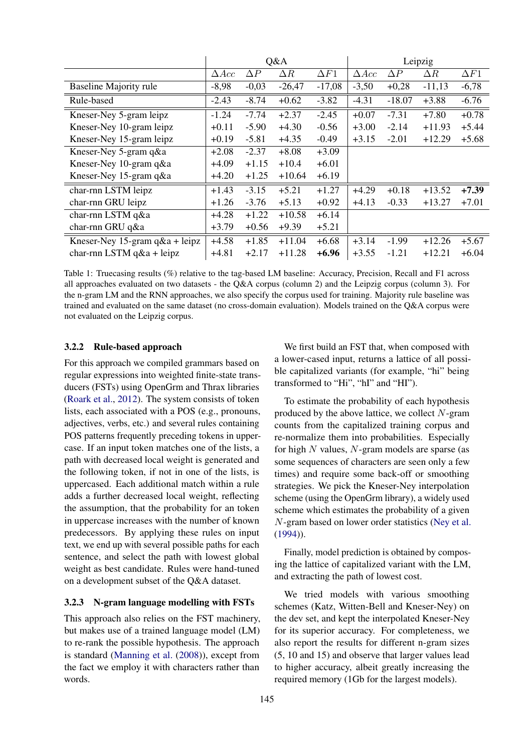<span id="page-2-0"></span>

|                                   | Q&A          |            |            | Leipzig     |              |            |            |             |
|-----------------------------------|--------------|------------|------------|-------------|--------------|------------|------------|-------------|
|                                   | $\Delta Acc$ | $\Delta P$ | $\Delta R$ | $\Delta F1$ | $\Delta Acc$ | $\Delta P$ | $\Delta R$ | $\Delta F1$ |
| <b>Baseline Majority rule</b>     | $-8,98$      | $-0,03$    | $-26,47$   | $-17,08$    | $-3,50$      | $+0,28$    | $-11,13$   | $-6,78$     |
| Rule-based                        | $-2.43$      | $-8.74$    | $+0.62$    | $-3.82$     | $-4.31$      | $-18.07$   | $+3.88$    | $-6.76$     |
| Kneser-Ney 5-gram leipz           | $-1.24$      | $-7.74$    | $+2.37$    | $-2.45$     | $+0.07$      | $-7.31$    | $+7.80$    | $+0.78$     |
| Kneser-Ney 10-gram leipz          | $+0.11$      | $-5.90$    | $+4.30$    | $-0.56$     | $+3.00$      | $-2.14$    | $+11.93$   | $+5.44$     |
| Kneser-Ney 15-gram leipz          | $+0.19$      | $-5.81$    | $+4.35$    | $-0.49$     | $+3.15$      | $-2.01$    | $+12.29$   | $+5.68$     |
| Kneser-Ney 5-gram q&a             | $+2.08$      | $-2.37$    | $+8.08$    | $+3.09$     |              |            |            |             |
| Kneser-Ney 10-gram q&a            | $+4.09$      | $+1.15$    | $+10.4$    | $+6.01$     |              |            |            |             |
| Kneser-Ney 15-gram q&a            | $+4.20$      | $+1.25$    | $+10.64$   | $+6.19$     |              |            |            |             |
| char-rnn LSTM leipz               | $+1.43$      | $-3.15$    | $+5.21$    | $+1.27$     | $+4.29$      | $+0.18$    | $+13.52$   | $+7.39$     |
| char-rnn GRU leipz                | $+1.26$      | $-3.76$    | $+5.13$    | $+0.92$     | $+4.13$      | $-0.33$    | $+13.27$   | $+7.01$     |
| char-rnn LSTM q&a                 | $+4.28$      | $+1.22$    | $+10.58$   | $+6.14$     |              |            |            |             |
| char-rnn GRU q $\&a$              | $+3.79$      | $+0.56$    | $+9.39$    | $+5.21$     |              |            |            |             |
| Kneser-Ney 15-gram $q\&a$ + leipz | $+4.58$      | $+1.85$    | $+11.04$   | $+6.68$     | $+3.14$      | $-1.99$    | $+12.26$   | $+5.67$     |
| char-rnn LSTM q&a + leipz         | $+4.81$      | $+2.17$    | $+11.28$   | $+6.96$     | $+3.55$      | $-1.21$    | +12.21     | $+6.04$     |

Table 1: Truecasing results (%) relative to the tag-based LM baseline: Accuracy, Precision, Recall and F1 across all approaches evaluated on two datasets - the Q&A corpus (column 2) and the Leipzig corpus (column 3). For the n-gram LM and the RNN approaches, we also specify the corpus used for training. Majority rule baseline was trained and evaluated on the same dataset (no cross-domain evaluation). Models trained on the Q&A corpus were not evaluated on the Leipzig corpus.

## 3.2.2 Rule-based approach

For this approach we compiled grammars based on regular expressions into weighted finite-state transducers (FSTs) using OpenGrm and Thrax libraries [\(Roark et al.,](#page-5-9) [2012\)](#page-5-9). The system consists of token lists, each associated with a POS (e.g., pronouns, adjectives, verbs, etc.) and several rules containing POS patterns frequently preceding tokens in uppercase. If an input token matches one of the lists, a path with decreased local weight is generated and the following token, if not in one of the lists, is uppercased. Each additional match within a rule adds a further decreased local weight, reflecting the assumption, that the probability for an token in uppercase increases with the number of known predecessors. By applying these rules on input text, we end up with several possible paths for each sentence, and select the path with lowest global weight as best candidate. Rules were hand-tuned on a development subset of the Q&A dataset.

## 3.2.3 N-gram language modelling with FSTs

This approach also relies on the FST machinery, but makes use of a trained language model (LM) to re-rank the possible hypothesis. The approach is standard [\(Manning et al.](#page-5-10) [\(2008\)](#page-5-10)), except from the fact we employ it with characters rather than words.

We first build an FST that, when composed with a lower-cased input, returns a lattice of all possible capitalized variants (for example, "hi" being transformed to "Hi", "hI" and "HI").

To estimate the probability of each hypothesis produced by the above lattice, we collect  $N$ -gram counts from the capitalized training corpus and re-normalize them into probabilities. Especially for high  $N$  values,  $N$ -gram models are sparse (as some sequences of characters are seen only a few times) and require some back-off or smoothing strategies. We pick the Kneser-Ney interpolation scheme (using the OpenGrm library), a widely used scheme which estimates the probability of a given N-gram based on lower order statistics [\(Ney et al.](#page-5-11) [\(1994\)](#page-5-11)).

Finally, model prediction is obtained by composing the lattice of capitalized variant with the LM, and extracting the path of lowest cost.

We tried models with various smoothing schemes (Katz, Witten-Bell and Kneser-Ney) on the dev set, and kept the interpolated Kneser-Ney for its superior accuracy. For completeness, we also report the results for different n-gram sizes (5, 10 and 15) and observe that larger values lead to higher accuracy, albeit greatly increasing the required memory (1Gb for the largest models).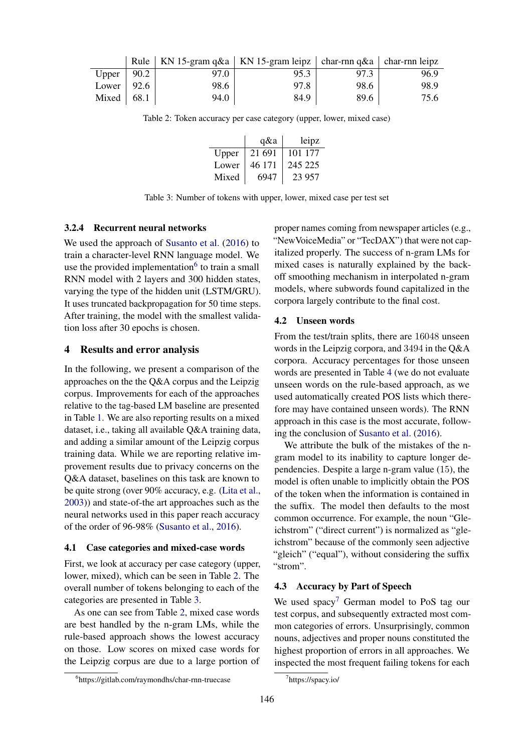<span id="page-3-2"></span><span id="page-3-1"></span>

|                    |      | Rule   KN 15-gram q&a   KN 15-gram leipz   char-rnn q&a   char-rnn leipz |      |      |
|--------------------|------|--------------------------------------------------------------------------|------|------|
| Upper   $90.2$     | 97.0 | 95.3                                                                     | 97.3 | 96.9 |
| Lower   $92.6$     | 98.6 | 97.8                                                                     | 98.6 | 98.9 |
| Mixed $\vert$ 68.1 | 94.0 | 84.9                                                                     | 89.6 | 75.6 |

Table 2: Token accuracy per case category (upper, lower, mixed case)

|       | q&a    | leipz   |
|-------|--------|---------|
| Upper | 21 691 | 101 177 |
| Lower | 46 171 | 245 225 |
| Mixed | 6947   | 23 957  |

Table 3: Number of tokens with upper, lower, mixed case per test set

#### 3.2.4 Recurrent neural networks

We used the approach of [Susanto et al.](#page-5-7) [\(2016\)](#page-5-7) to train a character-level RNN language model. We use the provided implementation $6$  to train a small RNN model with 2 layers and 300 hidden states, varying the type of the hidden unit (LSTM/GRU). It uses truncated backpropagation for 50 time steps. After training, the model with the smallest validation loss after 30 epochs is chosen.

## 4 Results and error analysis

In the following, we present a comparison of the approaches on the the Q&A corpus and the Leipzig corpus. Improvements for each of the approaches relative to the tag-based LM baseline are presented in Table [1.](#page-2-0) We are also reporting results on a mixed dataset, i.e., taking all available Q&A training data, and adding a similar amount of the Leipzig corpus training data. While we are reporting relative improvement results due to privacy concerns on the Q&A dataset, baselines on this task are known to be quite strong (over 90% accuracy, e.g. [\(Lita et al.,](#page-5-3) [2003\)](#page-5-3)) and state-of-the art approaches such as the neural networks used in this paper reach accuracy of the order of 96-98% [\(Susanto et al.,](#page-5-7) [2016\)](#page-5-7).

#### 4.1 Case categories and mixed-case words

First, we look at accuracy per case category (upper, lower, mixed), which can be seen in Table [2.](#page-3-1) The overall number of tokens belonging to each of the categories are presented in Table [3.](#page-3-2)

As one can see from Table [2,](#page-3-1) mixed case words are best handled by the n-gram LMs, while the rule-based approach shows the lowest accuracy on those. Low scores on mixed case words for the Leipzig corpus are due to a large portion of

proper names coming from newspaper articles (e.g., "NewVoiceMedia" or "TecDAX") that were not capitalized properly. The success of n-gram LMs for mixed cases is naturally explained by the backoff smoothing mechanism in interpolated n-gram models, where subwords found capitalized in the corpora largely contribute to the final cost.

#### 4.2 Unseen words

From the test/train splits, there are 16048 unseen words in the Leipzig corpora, and 3494 in the Q&A corpora. Accuracy percentages for those unseen words are presented in Table [4](#page-4-0) (we do not evaluate unseen words on the rule-based approach, as we used automatically created POS lists which therefore may have contained unseen words). The RNN approach in this case is the most accurate, following the conclusion of [Susanto et al.](#page-5-7) [\(2016\)](#page-5-7).

We attribute the bulk of the mistakes of the ngram model to its inability to capture longer dependencies. Despite a large n-gram value (15), the model is often unable to implicitly obtain the POS of the token when the information is contained in the suffix. The model then defaults to the most common occurrence. For example, the noun "Gleichstrom" ("direct current") is normalized as "gleichstrom" because of the commonly seen adjective "gleich" ("equal"), without considering the suffix "strom".

### 4.3 Accuracy by Part of Speech

We used spacy<sup>[7](#page-3-3)</sup> German model to PoS tag our test corpus, and subsequently extracted most common categories of errors. Unsurprisingly, common nouns, adjectives and proper nouns constituted the highest proportion of errors in all approaches. We inspected the most frequent failing tokens for each

<span id="page-3-0"></span><sup>6</sup> https://gitlab.com/raymondhs/char-rnn-truecase

<span id="page-3-3"></span><sup>7</sup> https://spacy.io/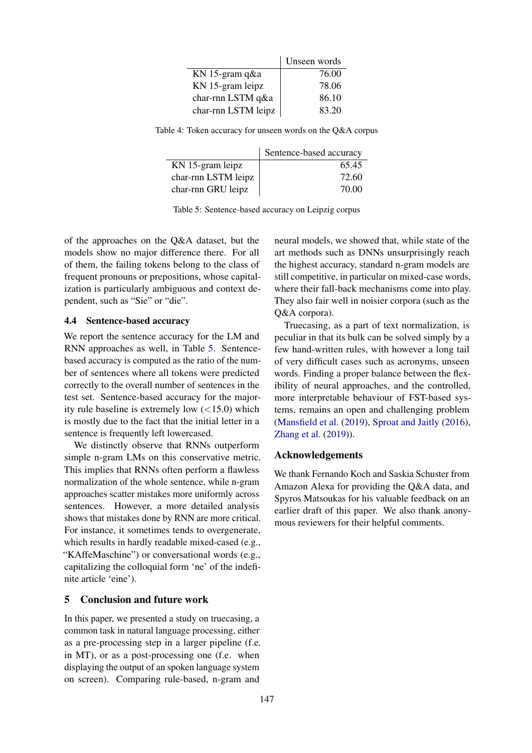|                     | Unseen words |
|---------------------|--------------|
| KN 15-gram q&a      | 76.00        |
| KN 15-gram leipz    | 78.06        |
| char-rnn LSTM q&a   | 86.10        |
| char-rnn LSTM leipz | 83.20        |

<span id="page-4-1"></span><span id="page-4-0"></span>Table 4: Token accuracy for unseen words on the Q&A corpus

|                     | Sentence-based accuracy |
|---------------------|-------------------------|
| KN 15-gram leipz    | 65.45                   |
| char-rnn LSTM leipz | 72.60                   |
| char-rnn GRU leipz  | 70.00                   |

Table 5: Sentence-based accuracy on Leipzig corpus

of the approaches on the Q&A dataset, but the models show no major difference there. For all of them, the failing tokens belong to the class of frequent pronouns or prepositions, whose capitalization is particularly ambiguous and context dependent, such as "Sie" or "die".

### 4.4 Sentence-based accuracy

We report the sentence accuracy for the LM and RNN approaches as well, in Table [5.](#page-4-1) Sentencebased accuracy is computed as the ratio of the number of sentences where all tokens were predicted correctly to the overall number of sentences in the test set. Sentence-based accuracy for the majority rule baseline is extremely low  $(<15.0)$  which is mostly due to the fact that the initial letter in a sentence is frequently left lowercased.

We distinctly observe that RNNs outperform simple n-gram LMs on this conservative metric. This implies that RNNs often perform a flawless normalization of the whole sentence, while n-gram approaches scatter mistakes more uniformly across sentences. However, a more detailed analysis shows that mistakes done by RNN are more critical. For instance, it sometimes tends to overgenerate, which results in hardly readable mixed-cased (e.g., "KAffeMaschine") or conversational words (e.g., capitalizing the colloquial form 'ne' of the indefinite article 'eine').

## 5 Conclusion and future work

In this paper, we presented a study on truecasing, a common task in natural language processing, either as a pre-processing step in a larger pipeline (f.e. in MT), or as a post-processing one (f.e. when displaying the output of an spoken language system on screen). Comparing rule-based, n-gram and

neural models, we showed that, while state of the art methods such as DNNs unsurprisingly reach the highest accuracy, standard n-gram models are still competitive, in particular on mixed-case words, where their fall-back mechanisms come into play. They also fair well in noisier corpora (such as the Q&A corpora).

Truecasing, as a part of text normalization, is peculiar in that its bulk can be solved simply by a few hand-written rules, with however a long tail of very difficult cases such as acronyms, unseen words. Finding a proper balance between the flexibility of neural approaches, and the controlled, more interpretable behaviour of FST-based systems, remains an open and challenging problem [\(Mansfield et al.](#page-5-12) [\(2019\)](#page-5-12), [Sproat and Jaitly](#page-5-13) [\(2016\)](#page-5-13), [Zhang et al.](#page-5-14) [\(2019\)](#page-5-14)).

## Acknowledgements

We thank Fernando Koch and Saskia Schuster from Amazon Alexa for providing the Q&A data, and Spyros Matsoukas for his valuable feedback on an earlier draft of this paper. We also thank anonymous reviewers for their helpful comments.